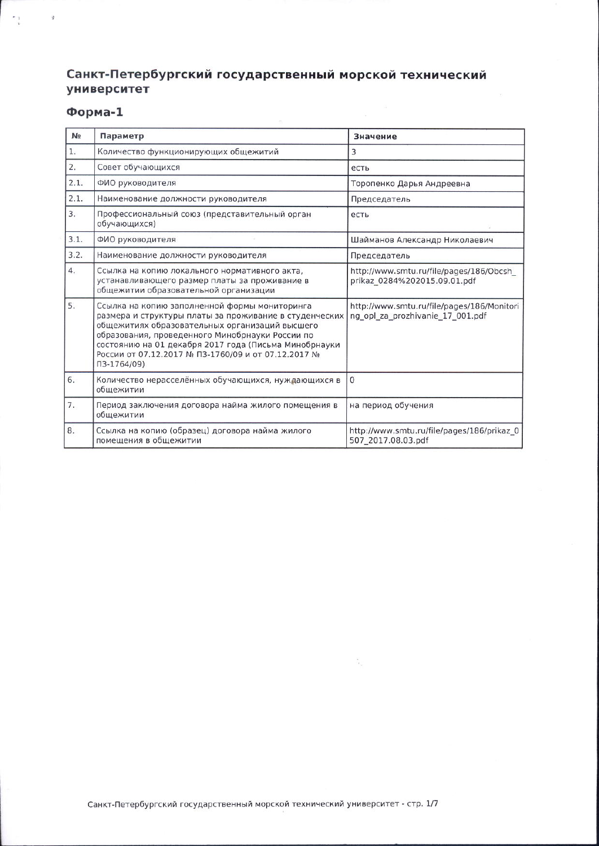## Санкт-Петербургский государственный морской технический университет

 $\bar{\mathfrak{B}}$ 

## Форма-1

 $\begin{array}{cc} \star_1 & \quad \ \ \, \star_2 \end{array}$ 

| N <sub>2</sub> | Параметр                                                                                                                                                                                                                                                                                                                                         | Значение                                                                       |
|----------------|--------------------------------------------------------------------------------------------------------------------------------------------------------------------------------------------------------------------------------------------------------------------------------------------------------------------------------------------------|--------------------------------------------------------------------------------|
| 1.             | Количество функционирующих общежитий                                                                                                                                                                                                                                                                                                             | 3                                                                              |
| 2.             | Совет обучающихся                                                                                                                                                                                                                                                                                                                                | есть                                                                           |
| 2.1.           | ФИО руководителя                                                                                                                                                                                                                                                                                                                                 | Торопенко Дарья Андреевна                                                      |
| 2.1.           | Наименование должности руководителя                                                                                                                                                                                                                                                                                                              | Председатель                                                                   |
| 3.             | Профессиональный союз (представительный орган<br>обучающихся)                                                                                                                                                                                                                                                                                    | есть                                                                           |
| 3.1.           | ФИО руководителя                                                                                                                                                                                                                                                                                                                                 | Шайманов Александр Николаевич                                                  |
| 3.2.           | Наименование должности руководителя                                                                                                                                                                                                                                                                                                              | Председатель                                                                   |
| 4.             | Ссылка на копию локального нормативного акта,<br>устанавливающего размер платы за проживание в<br>общежитии образовательной организации                                                                                                                                                                                                          | http://www.smtu.ru/file/pages/186/Obcsh<br>prikaz 0284%202015.09.01.pdf        |
| 5.             | Ссылка на копию заполненной формы мониторинга<br>размера и структуры платы за проживание в студенческих<br>общежитиях образовательных организаций высшего<br>образования, проведенного Минобрнауки России по<br>состоянию на 01 декабря 2017 года (Письма Минобрнауки<br>России от 07.12.2017 № ПЗ-1760/09 и от 07.12.2017 №<br>$\Pi$ 3-1764/09) | http://www.smtu.ru/file/pages/186/Monitori<br>ng opl za prozhivanie 17 001.pdf |
| 6.             | Количество нерасселённых обучающихся, нуждающихся в<br>общежитии                                                                                                                                                                                                                                                                                 | $\mathbf{0}$                                                                   |
| 7.             | Период заключения договора найма жилого помещения в<br>общежитии                                                                                                                                                                                                                                                                                 | на период обучения                                                             |
| 8.             | Ссылка на копию (образец) договора найма жилого<br>помещения в общежитии                                                                                                                                                                                                                                                                         | http://www.smtu.ru/file/pages/186/prikaz_0<br>507 2017.08.03.pdf               |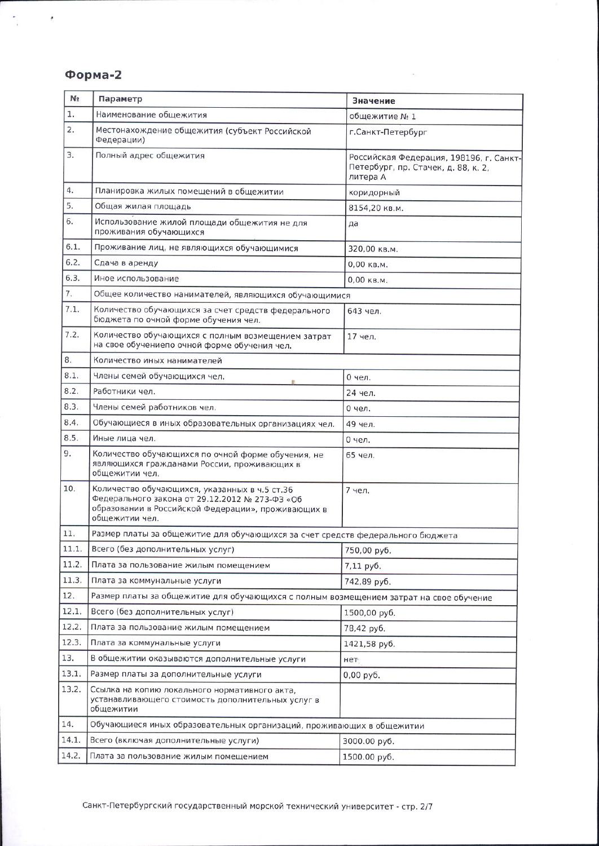## Форма-2

 $\gamma_{\rm c}=-\epsilon$ 

| 1.<br>Наименование общежития<br>общежитие № 1<br>2.<br>Местонахождение общежития (субъект Российской<br>г. Санкт-Петербург<br>Федерации)<br>3.<br>Полный адрес общежития<br>Петербург, пр. Стачек, д. 88, к. 2,<br>литера А<br>4.<br>Планировка жилых помещений в общежитии<br>коридорный<br>5.<br>Общая жилая площадь<br>8154,20 кв.м.<br>6.<br>Использование жилой площади общежития не для<br>да<br>проживания обучающихся<br>6.1.<br>Проживание лиц, не являющихся обучающимися<br>320,00 кв.м.<br>6.2.<br>Сдача в аренду<br>0,00 кв.м.<br>6.3.<br>Иное использование<br>0,00 кв.м.<br>7.<br>Общее количество нанимателей, являющихся обучающимися<br>7.1.<br>Количество обучающихся за счет средств федерального<br>643 чел.<br>бюджета по очной форме обучения чел.<br>7.2.<br>Количество обучающихся с полным возмещением затрат<br>17 чел.<br>на свое обучениепо очной форме обучения чел.<br>8.<br>Количество иных нанимателей<br>8.1.<br>Члены семей обучающихся чел.<br>0 чел.<br>8.2.<br>Работники чел.<br>24 чел.<br>8.3.<br>Члены семей работников чел.<br>0 чел.<br>8.4.<br>Обучающиеся в иных образовательных организациях чел.<br>49 чел.<br>8.5.<br>Иные лица чел.<br>0 чел.<br>9.<br>Количество обучающихся по очной форме обучения, не<br>65 чел.<br>являющихся гражданами России, проживающих в<br>общежитии чел.<br>10.<br>Количество обучающихся, указанных в ч.5 ст.36<br>7 чел.<br>Федерального закона от 29.12.2012 № 273-ФЗ «Об<br>образовании в Российской Федерации», проживающих в<br>общежитии чел.<br>11.<br>Размер платы за общежитие для обучающихся за счет средств федерального бюджета<br>11.1.<br>Всего (без дополнительных услуг)<br>750,00 py6.<br>11.2.<br>Плата за пользование жилым помещением | N <sub>2</sub> | Параметр | Значение                                |  |
|-------------------------------------------------------------------------------------------------------------------------------------------------------------------------------------------------------------------------------------------------------------------------------------------------------------------------------------------------------------------------------------------------------------------------------------------------------------------------------------------------------------------------------------------------------------------------------------------------------------------------------------------------------------------------------------------------------------------------------------------------------------------------------------------------------------------------------------------------------------------------------------------------------------------------------------------------------------------------------------------------------------------------------------------------------------------------------------------------------------------------------------------------------------------------------------------------------------------------------------------------------------------------------------------------------------------------------------------------------------------------------------------------------------------------------------------------------------------------------------------------------------------------------------------------------------------------------------------------------------------------------------------------------------------------------------------------------------------------------------------|----------------|----------|-----------------------------------------|--|
|                                                                                                                                                                                                                                                                                                                                                                                                                                                                                                                                                                                                                                                                                                                                                                                                                                                                                                                                                                                                                                                                                                                                                                                                                                                                                                                                                                                                                                                                                                                                                                                                                                                                                                                                           |                |          |                                         |  |
|                                                                                                                                                                                                                                                                                                                                                                                                                                                                                                                                                                                                                                                                                                                                                                                                                                                                                                                                                                                                                                                                                                                                                                                                                                                                                                                                                                                                                                                                                                                                                                                                                                                                                                                                           |                |          |                                         |  |
|                                                                                                                                                                                                                                                                                                                                                                                                                                                                                                                                                                                                                                                                                                                                                                                                                                                                                                                                                                                                                                                                                                                                                                                                                                                                                                                                                                                                                                                                                                                                                                                                                                                                                                                                           |                |          | Российская Федерация, 198196, г. Санкт- |  |
|                                                                                                                                                                                                                                                                                                                                                                                                                                                                                                                                                                                                                                                                                                                                                                                                                                                                                                                                                                                                                                                                                                                                                                                                                                                                                                                                                                                                                                                                                                                                                                                                                                                                                                                                           |                |          |                                         |  |
|                                                                                                                                                                                                                                                                                                                                                                                                                                                                                                                                                                                                                                                                                                                                                                                                                                                                                                                                                                                                                                                                                                                                                                                                                                                                                                                                                                                                                                                                                                                                                                                                                                                                                                                                           |                |          |                                         |  |
|                                                                                                                                                                                                                                                                                                                                                                                                                                                                                                                                                                                                                                                                                                                                                                                                                                                                                                                                                                                                                                                                                                                                                                                                                                                                                                                                                                                                                                                                                                                                                                                                                                                                                                                                           |                |          |                                         |  |
|                                                                                                                                                                                                                                                                                                                                                                                                                                                                                                                                                                                                                                                                                                                                                                                                                                                                                                                                                                                                                                                                                                                                                                                                                                                                                                                                                                                                                                                                                                                                                                                                                                                                                                                                           |                |          |                                         |  |
|                                                                                                                                                                                                                                                                                                                                                                                                                                                                                                                                                                                                                                                                                                                                                                                                                                                                                                                                                                                                                                                                                                                                                                                                                                                                                                                                                                                                                                                                                                                                                                                                                                                                                                                                           |                |          |                                         |  |
|                                                                                                                                                                                                                                                                                                                                                                                                                                                                                                                                                                                                                                                                                                                                                                                                                                                                                                                                                                                                                                                                                                                                                                                                                                                                                                                                                                                                                                                                                                                                                                                                                                                                                                                                           |                |          |                                         |  |
|                                                                                                                                                                                                                                                                                                                                                                                                                                                                                                                                                                                                                                                                                                                                                                                                                                                                                                                                                                                                                                                                                                                                                                                                                                                                                                                                                                                                                                                                                                                                                                                                                                                                                                                                           |                |          |                                         |  |
|                                                                                                                                                                                                                                                                                                                                                                                                                                                                                                                                                                                                                                                                                                                                                                                                                                                                                                                                                                                                                                                                                                                                                                                                                                                                                                                                                                                                                                                                                                                                                                                                                                                                                                                                           |                |          |                                         |  |
|                                                                                                                                                                                                                                                                                                                                                                                                                                                                                                                                                                                                                                                                                                                                                                                                                                                                                                                                                                                                                                                                                                                                                                                                                                                                                                                                                                                                                                                                                                                                                                                                                                                                                                                                           |                |          |                                         |  |
|                                                                                                                                                                                                                                                                                                                                                                                                                                                                                                                                                                                                                                                                                                                                                                                                                                                                                                                                                                                                                                                                                                                                                                                                                                                                                                                                                                                                                                                                                                                                                                                                                                                                                                                                           |                |          |                                         |  |
|                                                                                                                                                                                                                                                                                                                                                                                                                                                                                                                                                                                                                                                                                                                                                                                                                                                                                                                                                                                                                                                                                                                                                                                                                                                                                                                                                                                                                                                                                                                                                                                                                                                                                                                                           |                |          |                                         |  |
|                                                                                                                                                                                                                                                                                                                                                                                                                                                                                                                                                                                                                                                                                                                                                                                                                                                                                                                                                                                                                                                                                                                                                                                                                                                                                                                                                                                                                                                                                                                                                                                                                                                                                                                                           |                |          |                                         |  |
|                                                                                                                                                                                                                                                                                                                                                                                                                                                                                                                                                                                                                                                                                                                                                                                                                                                                                                                                                                                                                                                                                                                                                                                                                                                                                                                                                                                                                                                                                                                                                                                                                                                                                                                                           |                |          |                                         |  |
|                                                                                                                                                                                                                                                                                                                                                                                                                                                                                                                                                                                                                                                                                                                                                                                                                                                                                                                                                                                                                                                                                                                                                                                                                                                                                                                                                                                                                                                                                                                                                                                                                                                                                                                                           |                |          |                                         |  |
|                                                                                                                                                                                                                                                                                                                                                                                                                                                                                                                                                                                                                                                                                                                                                                                                                                                                                                                                                                                                                                                                                                                                                                                                                                                                                                                                                                                                                                                                                                                                                                                                                                                                                                                                           |                |          |                                         |  |
|                                                                                                                                                                                                                                                                                                                                                                                                                                                                                                                                                                                                                                                                                                                                                                                                                                                                                                                                                                                                                                                                                                                                                                                                                                                                                                                                                                                                                                                                                                                                                                                                                                                                                                                                           |                |          |                                         |  |
|                                                                                                                                                                                                                                                                                                                                                                                                                                                                                                                                                                                                                                                                                                                                                                                                                                                                                                                                                                                                                                                                                                                                                                                                                                                                                                                                                                                                                                                                                                                                                                                                                                                                                                                                           |                |          |                                         |  |
|                                                                                                                                                                                                                                                                                                                                                                                                                                                                                                                                                                                                                                                                                                                                                                                                                                                                                                                                                                                                                                                                                                                                                                                                                                                                                                                                                                                                                                                                                                                                                                                                                                                                                                                                           |                |          |                                         |  |
|                                                                                                                                                                                                                                                                                                                                                                                                                                                                                                                                                                                                                                                                                                                                                                                                                                                                                                                                                                                                                                                                                                                                                                                                                                                                                                                                                                                                                                                                                                                                                                                                                                                                                                                                           |                |          |                                         |  |
|                                                                                                                                                                                                                                                                                                                                                                                                                                                                                                                                                                                                                                                                                                                                                                                                                                                                                                                                                                                                                                                                                                                                                                                                                                                                                                                                                                                                                                                                                                                                                                                                                                                                                                                                           |                |          | 7,11 руб.                               |  |
| 11.3.<br>Плата за коммунальные услуги<br>742,89 руб.                                                                                                                                                                                                                                                                                                                                                                                                                                                                                                                                                                                                                                                                                                                                                                                                                                                                                                                                                                                                                                                                                                                                                                                                                                                                                                                                                                                                                                                                                                                                                                                                                                                                                      |                |          |                                         |  |
| 12.<br>Размер платы за общежитие для обучающихся с полным возмещением затрат на свое обучение                                                                                                                                                                                                                                                                                                                                                                                                                                                                                                                                                                                                                                                                                                                                                                                                                                                                                                                                                                                                                                                                                                                                                                                                                                                                                                                                                                                                                                                                                                                                                                                                                                             |                |          |                                         |  |
| 12.1.<br>Всего (без дополнительных услуг)<br>1500,00 руб.                                                                                                                                                                                                                                                                                                                                                                                                                                                                                                                                                                                                                                                                                                                                                                                                                                                                                                                                                                                                                                                                                                                                                                                                                                                                                                                                                                                                                                                                                                                                                                                                                                                                                 |                |          |                                         |  |
| 12.2.<br>Плата за пользование жилым помещением<br>78,42 руб.                                                                                                                                                                                                                                                                                                                                                                                                                                                                                                                                                                                                                                                                                                                                                                                                                                                                                                                                                                                                                                                                                                                                                                                                                                                                                                                                                                                                                                                                                                                                                                                                                                                                              |                |          |                                         |  |
| 12.3.<br>Плата за коммунальные услуги<br>1421,58 py6.                                                                                                                                                                                                                                                                                                                                                                                                                                                                                                                                                                                                                                                                                                                                                                                                                                                                                                                                                                                                                                                                                                                                                                                                                                                                                                                                                                                                                                                                                                                                                                                                                                                                                     |                |          |                                         |  |
| 13.<br>В общежитии оказываются дополнительные услуги<br>нет                                                                                                                                                                                                                                                                                                                                                                                                                                                                                                                                                                                                                                                                                                                                                                                                                                                                                                                                                                                                                                                                                                                                                                                                                                                                                                                                                                                                                                                                                                                                                                                                                                                                               |                |          |                                         |  |
| 13.1.<br>Размер платы за дополнительные услуги<br>0,00 руб.                                                                                                                                                                                                                                                                                                                                                                                                                                                                                                                                                                                                                                                                                                                                                                                                                                                                                                                                                                                                                                                                                                                                                                                                                                                                                                                                                                                                                                                                                                                                                                                                                                                                               |                |          |                                         |  |
| 13.2.<br>Ссылка на копию локального нормативного акта,<br>устанавливающего стоимость дополнительных услуг в<br>общежитии                                                                                                                                                                                                                                                                                                                                                                                                                                                                                                                                                                                                                                                                                                                                                                                                                                                                                                                                                                                                                                                                                                                                                                                                                                                                                                                                                                                                                                                                                                                                                                                                                  |                |          |                                         |  |
| 14.<br>Обучающиеся иных образовательных организаций, проживающих в общежитии                                                                                                                                                                                                                                                                                                                                                                                                                                                                                                                                                                                                                                                                                                                                                                                                                                                                                                                                                                                                                                                                                                                                                                                                                                                                                                                                                                                                                                                                                                                                                                                                                                                              |                |          |                                         |  |
| 14.1.<br>Всего (включая дополнительные услуги)<br>3000.00 руб.                                                                                                                                                                                                                                                                                                                                                                                                                                                                                                                                                                                                                                                                                                                                                                                                                                                                                                                                                                                                                                                                                                                                                                                                                                                                                                                                                                                                                                                                                                                                                                                                                                                                            |                |          |                                         |  |
| 14.2.<br>Плата за пользование жилым помещением<br>1500.00 руб.                                                                                                                                                                                                                                                                                                                                                                                                                                                                                                                                                                                                                                                                                                                                                                                                                                                                                                                                                                                                                                                                                                                                                                                                                                                                                                                                                                                                                                                                                                                                                                                                                                                                            |                |          |                                         |  |